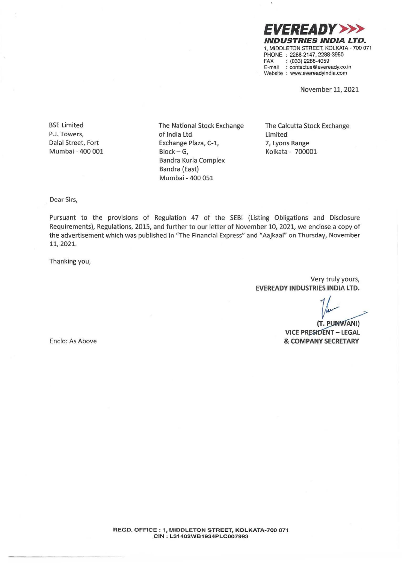*EVEREADY>>>*  **INDUSTRIES INDIA LTD.**  1, MIDDLETON STREET, KOLKATA • 700 071 PHONE : 2288-2147, 2288-3950<br>FAX : (033) 2288-4059  $: (033)$  2288-4059 E-mail : contactus@eveready.co.in Website : www.evereadyindia.com

November 11, 2021

BSE Limited P.J. Towers, Dalal Street, Fort **Mumbai** - **400 001** 

The National Stock Exchange of India Ltd Exchange Plaza, C-1,  $Block - G$ , Bandra Kurla Complex Bandra (East) Mumbai - 400 051

The Calcutta Stock Exchange Limited 7, Lyons Range Kolkata - 700001

Dear Sirs,

Pursuant to the provisions of Regulation 47 of the SEBI (Listing Obligations and Disclosure Requirements), Regulations, 2015, and further to our letter of November 10, 2021, we enclose a copy of the advertisement which was published in "The Financial Express" and "Aajkaal" on Thursday, November 11, 2021.

Thanking you,

Very truly yours, **EVEREADY INDUSTRIES INDIA LTD.** 

(T. PUNWANI) **VICE PRESIDENT - LEGAL** & COMPANY SECRETARY

Enclo: As Above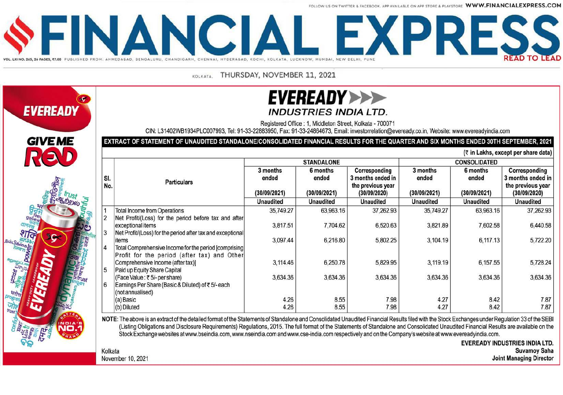FOLLOW US ON TWITTER & FACEROOK, APP AVAILARLE ON APP STORE & PLAYSTORE WWW.FINANCIALEXPRESS.COM



THURSDAY, NOVEMBER 11, 2021 KOLKATA



# **EVEREADY>>>> INDUSTRIES INDIA LTD.**

Registered Office: 1. Middleton Street, Kolkata - 700071

CIN: L31402WB1934PLC007993, Tel: 91-33-22883950, Fax: 91-33-24864673, Email: investorrelation@evereadv.co.in, Website: www.evereadvindia.com

### EXTRACT OF STATEMENT OF UNAUDITED STANDALONE/CONSOLIDATED FINANCIAL RESULTS FOR THE QUARTER AND SIX MONTHS ENDED 30TH SEPTEMBER, 2021

(₹ in Lakhs, except per share data)

|                | <b>Particulars</b>                                                                |                                                       | <b>STANDALONE</b>                                     |                                                                                             | <b>CONSOLIDATED</b>                                   |                                                       |                                                                                             |  |
|----------------|-----------------------------------------------------------------------------------|-------------------------------------------------------|-------------------------------------------------------|---------------------------------------------------------------------------------------------|-------------------------------------------------------|-------------------------------------------------------|---------------------------------------------------------------------------------------------|--|
| SI.<br>No.     |                                                                                   | 3 months<br>ended<br>(30/09/2021)<br><b>Unaudited</b> | 6 months<br>ended<br>(30/09/2021)<br><b>Unaudited</b> | Corresponding<br>3 months ended in<br>the previous year<br>(30/09/2020)<br><b>Unaudited</b> | 3 months<br>ended<br>(30/09/2021)<br><b>Unaudited</b> | 6 months<br>ended<br>(30/09/2021)<br><b>Unaudited</b> | Corresponding<br>3 months ended in<br>the previous year<br>(30/09/2020)<br><b>Unaudited</b> |  |
|                | <b>Total Income from Operations</b>                                               | 35,749.27                                             | 63,963.16                                             | 37,262.93                                                                                   | 35,749.27                                             | 63,963.16                                             | 37,262.93                                                                                   |  |
| $\overline{2}$ | Net Profit/(Loss) for the period before tax and after                             |                                                       |                                                       |                                                                                             |                                                       |                                                       |                                                                                             |  |
|                | exceptional items                                                                 | 3,817.51                                              | 7.704.62                                              | 6,520.63                                                                                    | 3,821.89                                              | 7,602.58                                              | 6,440.58                                                                                    |  |
| 3              | Net Profit/(Loss) for the period after tax and exceptional                        |                                                       |                                                       |                                                                                             |                                                       |                                                       |                                                                                             |  |
|                | items                                                                             | 3,097.44                                              | 6,216.80                                              | 5,802.25                                                                                    | 3,104.19                                              | 6,117.13                                              | 5,722.20                                                                                    |  |
| 4              | Total Comprehensive Income for the period [comprising]                            |                                                       |                                                       |                                                                                             |                                                       |                                                       |                                                                                             |  |
|                | Profit for the period (after tax) and Other                                       |                                                       |                                                       |                                                                                             |                                                       |                                                       |                                                                                             |  |
|                | Comprehensive Income (after tax)]                                                 | 3.114.46                                              | 6,250.78                                              | 5,829.95                                                                                    | 3,119.19                                              | 6.157.55                                              | 5.728.24                                                                                    |  |
| 5              | Paid up Equity Share Capital                                                      | 3,634.36                                              | 3,634.36                                              | 3.634.36                                                                                    | 3,634.36                                              | 3,634.36                                              | 3.634.36                                                                                    |  |
| 6              | (Face Value : ₹5/- per share)<br>Earnings Per Share (Basic & Diluted) of ₹5/-each |                                                       |                                                       |                                                                                             |                                                       |                                                       |                                                                                             |  |
|                | (not annualised)                                                                  |                                                       |                                                       |                                                                                             |                                                       |                                                       |                                                                                             |  |
|                | (a) Basic                                                                         | 4.26                                                  | 8.55                                                  | 7.98                                                                                        | 4.27                                                  | 8.42                                                  | 7.87                                                                                        |  |
|                | (b) Diluted                                                                       | 4.26                                                  | 8.55                                                  | 7.98                                                                                        | 4.27                                                  | 8.42                                                  | 7.87                                                                                        |  |

NOTE: The above is an extract of the detailed format of the Statements of Standalone and Consolidated Unaudited Financial Results filed with the Stock Exchanges under Regulation 33 of the SEBI (Listing Obligations and Disclosure Requirements) Regulations, 2015. The full format of the Statements of Standalone and Consolidated Unaudited Financial Results are available on the Stock Exchange websites at www.bseindia.com. www.nseindia.com and www.cse-india.com respectively and on the Company's website at www.evereadvindia.com.

> **EVEREADY INDUSTRIES INDIA LTD. Suvamoy Saha Joint Managing Director**

November 10, 2021